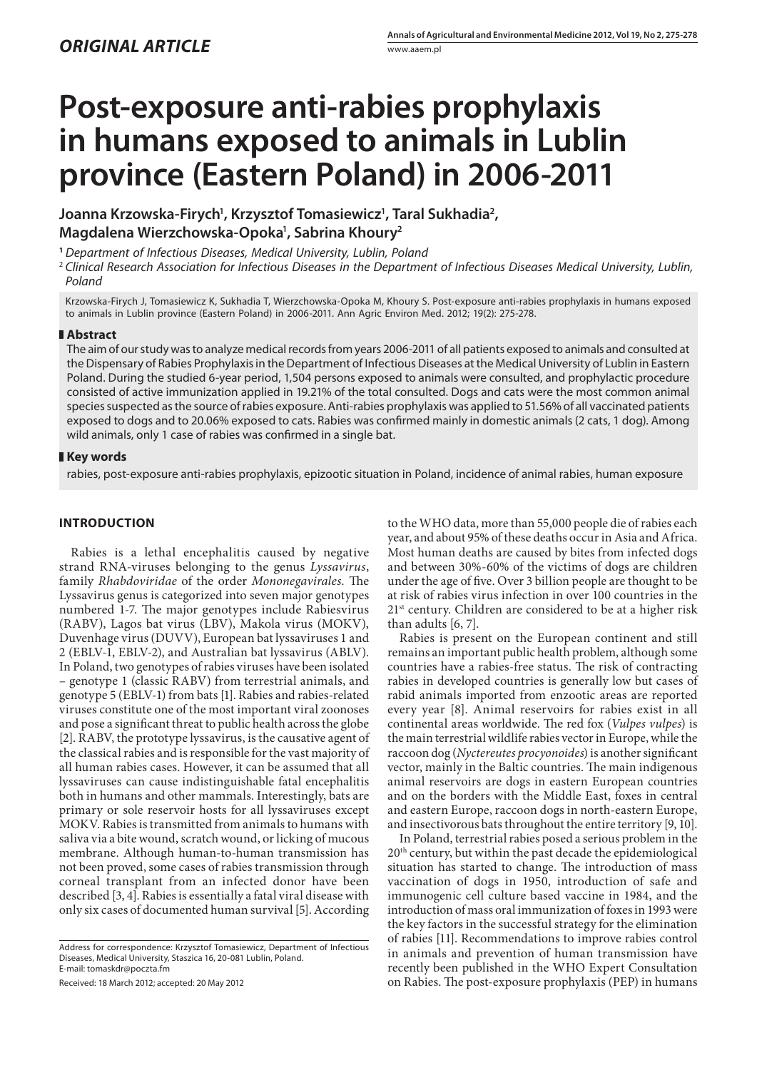# **Post-exposure anti-rabies prophylaxis in humans exposed to animals in Lublin province (Eastern Poland) in 2006-2011**

**Joanna Krzowska-Firych1 , Krzysztof Tomasiewicz1 , Taral Sukhadia2 , Magdalena Wierzchowska-Opoka1 , Sabrina Khoury2**

**<sup>1</sup>***Department of Infectious Diseases, Medical University, Lublin, Poland*

<sup>2</sup>*Clinical Research Association for Infectious Diseases in the Department of Infectious Diseases Medical University, Lublin, Poland*

Krzowska-Firych J, Tomasiewicz K, Sukhadia T, Wierzchowska-Opoka M, Khoury S. Post-exposure anti-rabies prophylaxis in humans exposed to animals in Lublin province (Eastern Poland) in 2006-2011. Ann Agric Environ Med. 2012; 19(2): 275-278.

## **Abstract**

The aim of our study was to analyze medical records from years 2006-2011 of all patients exposed to animals and consulted at the Dispensary of Rabies Prophylaxis in the Department of Infectious Diseases at the Medical University of Lublin in Eastern Poland. During the studied 6-year period, 1,504 persons exposed to animals were consulted, and prophylactic procedure consisted of active immunization applied in 19.21% of the total consulted. Dogs and cats were the most common animal species suspected as the source of rabies exposure. Anti-rabies prophylaxis was applied to 51.56% of all vaccinated patients exposed to dogs and to 20.06% exposed to cats. Rabies was confirmed mainly in domestic animals (2 cats, 1 dog). Among wild animals, only 1 case of rabies was confirmed in a single bat.

## **Key words**

rabies, post-exposure anti-rabies prophylaxis, epizootic situation in Poland, incidence of animal rabies, human exposure

# **INTRODUCTION**

Rabies is a lethal encephalitis caused by negative strand RNA-viruses belonging to the genus *Lyssavirus*, family *Rhabdoviridae* of the order *Mononegavirales.* The Lyssavirus genus is categorized into seven major genotypes numbered 1-7. The major genotypes include Rabiesvirus (RABV), Lagos bat virus (LBV), Makola virus (MOKV), Duvenhage virus (DUVV), European bat lyssaviruses 1 and 2 (EBLV-1, EBLV-2), and Australian bat lyssavirus (ABLV). In Poland, two genotypes of rabies viruses have been isolated – genotype 1 (classic RABV) from terrestrial animals, and genotype 5 (EBLV-1) from bats [1]. Rabies and rabies-related viruses constitute one of the most important viral zoonoses and pose a significant threat to public health across the globe [2]. RABV, the prototype lyssavirus, is the causative agent of the classical rabies and is responsible for the vast majority of all human rabies cases. However, it can be assumed that all lyssaviruses can cause indistinguishable fatal encephalitis both in humans and other mammals. Interestingly, bats are primary or sole reservoir hosts for all lyssaviruses except MOKV. Rabies is transmitted from animals to humans with saliva via a bite wound, scratch wound, or licking of mucous membrane. Although human-to-human transmission has not been proved, some cases of rabies transmission through corneal transplant from an infected donor have been described [3, 4]. Rabies is essentially a fatal viral disease with only six cases of documented human survival [5]. According

Received: 18 March 2012; accepted: 20 May 2012

to the WHO data, more than 55,000 people die of rabies each year, and about 95% of these deaths occur in Asia and Africa. Most human deaths are caused by bites from infected dogs and between 30%-60% of the victims of dogs are children under the age of five. Over 3 billion people are thought to be at risk of rabies virus infection in over 100 countries in the 21<sup>st</sup> century. Children are considered to be at a higher risk than adults [6, 7].

Rabies is present on the European continent and still remains an important public health problem, although some countries have a rabies-free status. The risk of contracting rabies in developed countries is generally low but cases of rabid animals imported from enzootic areas are reported every year [8]. Animal reservoirs for rabies exist in all continental areas worldwide. The red fox (*Vulpes vulpes*) is the main terrestrial wildlife rabies vector in Europe, while the raccoon dog (*Nyctereutes procyonoides*) is another significant vector, mainly in the Baltic countries. The main indigenous animal reservoirs are dogs in eastern European countries and on the borders with the Middle East, foxes in central and eastern Europe, raccoon dogs in north-eastern Europe, and insectivorous bats throughout the entire territory [9, 10].

In Poland, terrestrial rabies posed a serious problem in the 20<sup>th</sup> century, but within the past decade the epidemiological situation has started to change. The introduction of mass vaccination of dogs in 1950, introduction of safe and immunogenic cell culture based vaccine in 1984, and the introduction of mass oral immunization of foxes in 1993 were the key factors in the successful strategy for the elimination of rabies [11]. Recommendations to improve rabies control in animals and prevention of human transmission have recently been published in the WHO Expert Consultation on Rabies. The post-exposure prophylaxis (PEP) in humans

Address for correspondence: Krzysztof Tomasiewicz, Department of Infectious Diseases, Medical University, Staszica 16, 20-081 Lublin, Poland. E-mail: tomaskdr@poczta.fm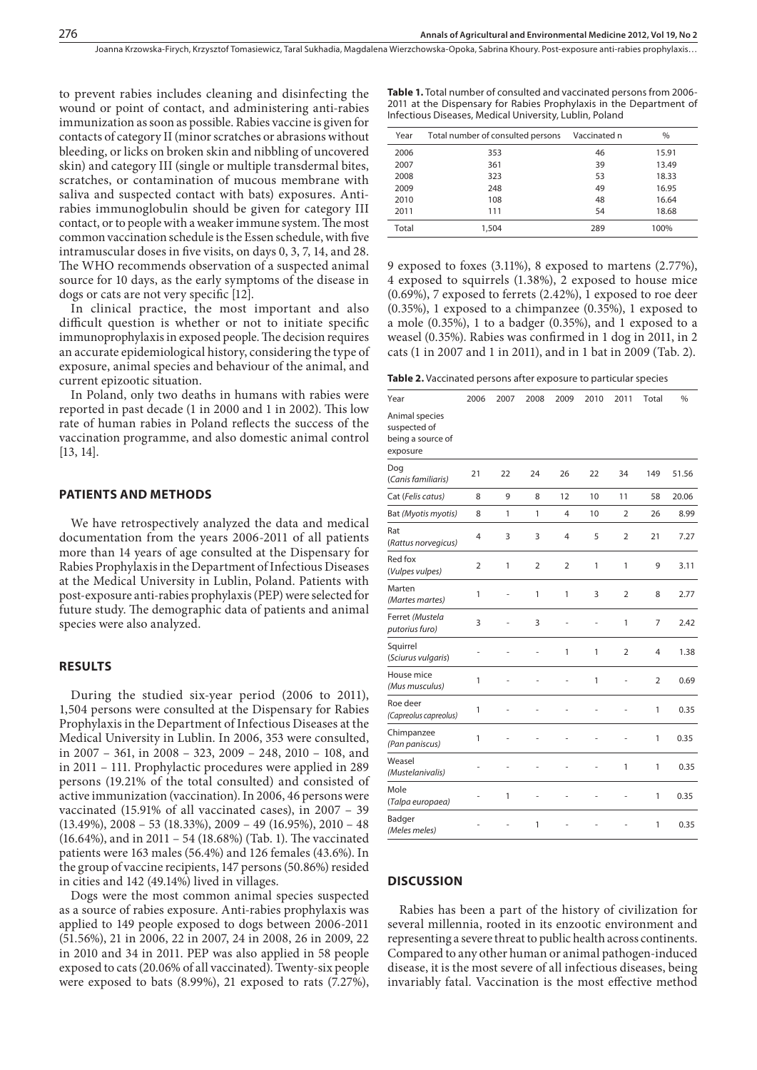to prevent rabies includes cleaning and disinfecting the wound or point of contact, and administering anti-rabies immunization as soon as possible. Rabies vaccine is given for contacts of category II (minor scratches or abrasions without bleeding, or licks on broken skin and nibbling of uncovered skin) and category III (single or multiple transdermal bites, scratches, or contamination of mucous membrane with saliva and suspected contact with bats) exposures. Antirabies immunoglobulin should be given for category III contact, or to people with a weaker immune system. The most common vaccination schedule is the Essen schedule, with five intramuscular doses in five visits, on days 0, 3, 7, 14, and 28. The WHO recommends observation of a suspected animal source for 10 days, as the early symptoms of the disease in dogs or cats are not very specific [12].

In clinical practice, the most important and also difficult question is whether or not to initiate specific immunoprophylaxis in exposed people. The decision requires an accurate epidemiological history, considering the type of exposure, animal species and behaviour of the animal, and current epizootic situation.

In Poland, only two deaths in humans with rabies were reported in past decade (1 in 2000 and 1 in 2002). This low rate of human rabies in Poland reflects the success of the vaccination programme, and also domestic animal control [13, 14].

#### **PATIENTS AND METHODS**

We have retrospectively analyzed the data and medical documentation from the years 2006-2011 of all patients more than 14 years of age consulted at the Dispensary for Rabies Prophylaxis in the Department of Infectious Diseases at the Medical University in Lublin, Poland. Patients with post-exposure anti-rabies prophylaxis (PEP) were selected for future study. The demographic data of patients and animal species were also analyzed.

#### **RESULTS**

During the studied six-year period (2006 to 2011), 1,504 persons were consulted at the Dispensary for Rabies Prophylaxis in the Department of Infectious Diseases at the Medical University in Lublin. In 2006, 353 were consulted, in 2007 – 361, in 2008 – 323, 2009 – 248, 2010 – 108, and in 2011 – 111. Prophylactic procedures were applied in 289 persons (19.21% of the total consulted) and consisted of active immunization (vaccination). In 2006, 46 persons were vaccinated (15.91% of all vaccinated cases), in 2007 – 39 (13.49%), 2008 – 53 (18.33%), 2009 – 49 (16.95%), 2010 – 48 (16.64%), and in 2011 – 54 (18.68%) (Tab. 1). The vaccinated patients were 163 males (56.4%) and 126 females (43.6%). In the group of vaccine recipients, 147 persons (50.86%) resided in cities and 142 (49.14%) lived in villages.

Dogs were the most common animal species suspected as a source of rabies exposure. Anti-rabies prophylaxis was applied to 149 people exposed to dogs between 2006-2011 (51.56%), 21 in 2006, 22 in 2007, 24 in 2008, 26 in 2009, 22 in 2010 and 34 in 2011. PEP was also applied in 58 people exposed to cats (20.06% of all vaccinated). Twenty-six people were exposed to bats (8.99%), 21 exposed to rats (7.27%),

**Table 1.** Total number of consulted and vaccinated persons from 2006- 2011 at the Dispensary for Rabies Prophylaxis in the Department of Infectious Diseases, Medical University, Lublin, Poland

| Year  | Total number of consulted persons | Vaccinated n | $\%$  |
|-------|-----------------------------------|--------------|-------|
| 2006  | 353                               | 46           | 15.91 |
| 2007  | 361                               | 39           | 13.49 |
| 2008  | 323                               | 53           | 18.33 |
| 2009  | 248                               | 49           | 16.95 |
| 2010  | 108                               | 48           | 16.64 |
| 2011  | 111                               | 54           | 18.68 |
| Total | 1,504                             | 289          | 100%  |

9 exposed to foxes (3.11%), 8 exposed to martens (2.77%), 4 exposed to squirrels (1.38%), 2 exposed to house mice (0.69%), 7 exposed to ferrets (2.42%), 1 exposed to roe deer (0.35%), 1 exposed to a chimpanzee (0.35%), 1 exposed to a mole (0.35%), 1 to a badger (0.35%), and 1 exposed to a weasel (0.35%). Rabies was confirmed in 1 dog in 2011, in 2 cats (1 in 2007 and 1 in 2011), and in 1 bat in 2009 (Tab. 2).

|  |  |  |  | <b>Table 2.</b> Vaccinated persons after exposure to particular species |  |  |  |
|--|--|--|--|-------------------------------------------------------------------------|--|--|--|
|--|--|--|--|-------------------------------------------------------------------------|--|--|--|

| Year                                                            | 2006           | 2007         | 2008           | 2009           | 2010 | 2011           | Total          | %     |
|-----------------------------------------------------------------|----------------|--------------|----------------|----------------|------|----------------|----------------|-------|
| Animal species<br>suspected of<br>being a source of<br>exposure |                |              |                |                |      |                |                |       |
| Dog<br>(Canis familiaris)                                       | 21             | 22           | 24             | 26             | 22   | 34             | 149            | 51.56 |
| Cat (Felis catus)                                               | 8              | 9            | 8              | 12             | 10   | 11             | 58             | 20.06 |
| Bat (Myotis myotis)                                             | 8              | 1            | 1              | 4              | 10   | $\overline{2}$ | 26             | 8.99  |
| Rat<br>(Rattus norvegicus)                                      | 4              | 3            | 3              | 4              | 5    | $\overline{2}$ | 21             | 7.27  |
| Red fox<br>(Vulpes vulpes)                                      | $\overline{2}$ | 1            | $\overline{2}$ | $\overline{2}$ | 1    | 1              | 9              | 3.11  |
| Marten<br>(Martes martes)                                       | 1              | ×,           | $\mathbf{1}$   | 1              | 3    | $\overline{2}$ | 8              | 2.77  |
| Ferret (Mustela<br>putorius furo)                               | 3              |              | 3              |                |      | 1              | 7              | 2.42  |
| Squirrel<br>(Sciurus vulgaris)                                  | i.             |              |                | 1              | 1    | $\overline{2}$ | $\overline{4}$ | 1.38  |
| House mice<br>(Mus musculus)                                    | $\mathbf{1}$   |              |                | i.             | 1    | i.             | $\overline{2}$ | 0.69  |
| Roe deer<br>(Capreolus capreolus)                               | 1              |              |                |                |      |                | 1              | 0.35  |
| Chimpanzee<br>(Pan paniscus)                                    | 1              |              |                |                |      |                | 1              | 0.35  |
| Weasel<br>(Mustelanivalis)                                      |                |              |                |                |      | 1              | 1              | 0.35  |
| Mole<br>(Talpa europaea)                                        | i.             | $\mathbf{1}$ | ä,             |                |      |                | 1              | 0.35  |
| Badger<br>(Meles meles)                                         |                |              | $\mathbf{1}$   |                |      |                | 1              | 0.35  |

### **DISCUSSION**

Rabies has been a part of the history of civilization for several millennia, rooted in its enzootic environment and representing a severe threat to public health across continents. Compared to any other human or animal pathogen-induced disease, it is the most severe of all infectious diseases, being invariably fatal. Vaccination is the most effective method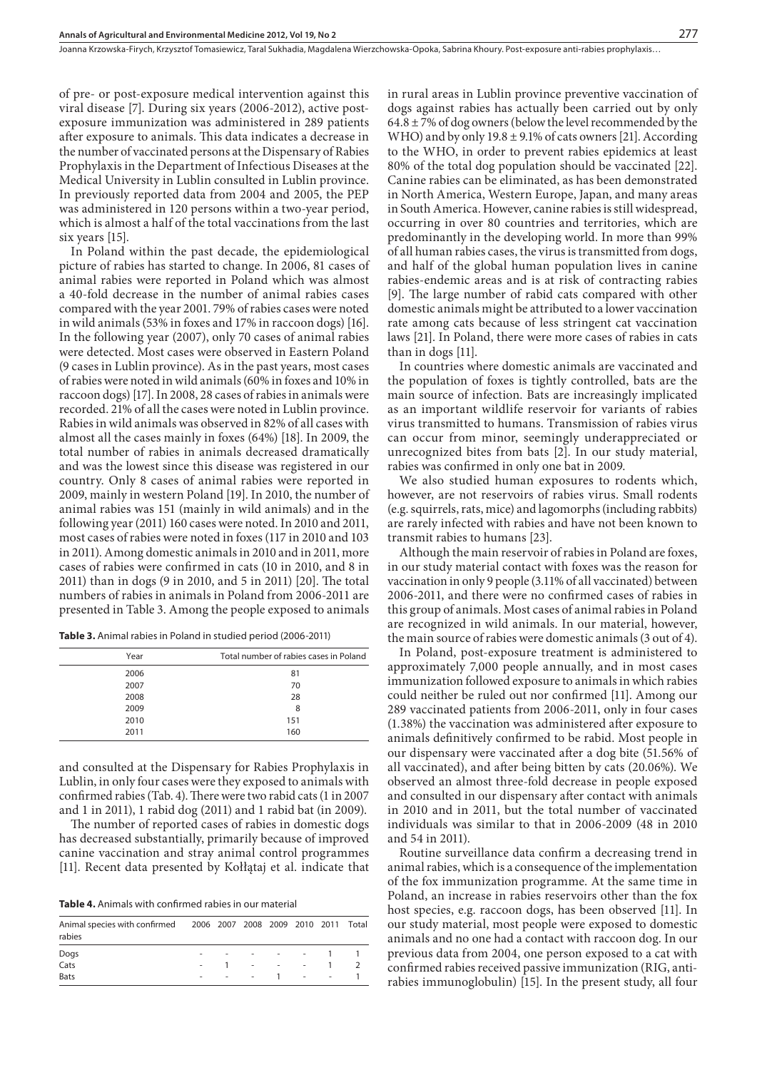of pre- or post-exposure medical intervention against this viral disease [7]. During six years (2006-2012), active postexposure immunization was administered in 289 patients after exposure to animals. This data indicates a decrease in the number of vaccinated persons at the Dispensary of Rabies Prophylaxis in the Department of Infectious Diseases at the Medical University in Lublin consulted in Lublin province. In previously reported data from 2004 and 2005, the PEP was administered in 120 persons within a two-year period, which is almost a half of the total vaccinations from the last six years [15].

In Poland within the past decade, the epidemiological picture of rabies has started to change. In 2006, 81 cases of animal rabies were reported in Poland which was almost a 40-fold decrease in the number of animal rabies cases compared with the year 2001. 79% of rabies cases were noted in wild animals (53% in foxes and 17% in raccoon dogs) [16]. In the following year (2007), only 70 cases of animal rabies were detected. Most cases were observed in Eastern Poland (9 cases in Lublin province). As in the past years, most cases of rabies were noted in wild animals (60% in foxes and 10% in raccoon dogs) [17]. In 2008, 28 cases of rabies in animals were recorded. 21% of all the cases were noted in Lublin province. Rabies in wild animals was observed in 82% of all cases with almost all the cases mainly in foxes (64%) [18]. In 2009, the total number of rabies in animals decreased dramatically and was the lowest since this disease was registered in our country. Only 8 cases of animal rabies were reported in 2009, mainly in western Poland [19]. In 2010, the number of animal rabies was 151 (mainly in wild animals) and in the following year (2011) 160 cases were noted. In 2010 and 2011, most cases of rabies were noted in foxes (117 in 2010 and 103 in 2011). Among domestic animals in 2010 and in 2011, more cases of rabies were confirmed in cats (10 in 2010, and 8 in 2011) than in dogs (9 in 2010, and 5 in 2011) [20]. The total numbers of rabies in animals in Poland from 2006-2011 are presented in Table 3. Among the people exposed to animals

**Table 3.** Animal rabies in Poland in studied period (2006-2011)

| Year | Total number of rabies cases in Poland |
|------|----------------------------------------|
| 2006 | 81                                     |
| 2007 | 70                                     |
| 2008 | 28                                     |
| 2009 | 8                                      |
| 2010 | 151                                    |
| 2011 | 160                                    |
|      |                                        |

and consulted at the Dispensary for Rabies Prophylaxis in Lublin, in only four cases were they exposed to animals with confirmed rabies (Tab. 4). There were two rabid cats (1 in 2007 and 1 in 2011), 1 rabid dog (2011) and 1 rabid bat (in 2009).

The number of reported cases of rabies in domestic dogs has decreased substantially, primarily because of improved canine vaccination and stray animal control programmes [11]. Recent data presented by Kołłątaj et al. indicate that

**Table 4.** Animals with confirmed rabies in our material

| Animal species with confirmed 2006 2007 2008 2009 2010 2011 Total<br>rabies |                          |      |        |                            |  |
|-----------------------------------------------------------------------------|--------------------------|------|--------|----------------------------|--|
|                                                                             | $\overline{\phantom{a}}$ |      |        | . 1                        |  |
| Dogs<br>Cats                                                                |                          | $-1$ |        |                            |  |
| Bats                                                                        | $\sim$                   |      | $   1$ | the company of the company |  |

in rural areas in Lublin province preventive vaccination of dogs against rabies has actually been carried out by only  $64.8 \pm 7\%$  of dog owners (below the level recommended by the WHO) and by only  $19.8 \pm 9.1\%$  of cats owners [21]. According to the WHO, in order to prevent rabies epidemics at least 80% of the total dog population should be vaccinated [22]. Canine rabies can be eliminated, as has been demonstrated in North America, Western Europe, Japan, and many areas in South America. However, canine rabies is still widespread, occurring in over 80 countries and territories, which are predominantly in the developing world. In more than 99% of all human rabies cases, the virus is transmitted from dogs, and half of the global human population lives in canine rabies-endemic areas and is at risk of contracting rabies [9]. The large number of rabid cats compared with other domestic animals might be attributed to a lower vaccination rate among cats because of less stringent cat vaccination laws [21]. In Poland, there were more cases of rabies in cats than in dogs [11].

In countries where domestic animals are vaccinated and the population of foxes is tightly controlled, bats are the main source of infection. Bats are increasingly implicated as an important wildlife reservoir for variants of rabies virus transmitted to humans. Transmission of rabies virus can occur from minor, seemingly underappreciated or unrecognized bites from bats [2]. In our study material, rabies was confirmed in only one bat in 2009.

We also studied human exposures to rodents which, however, are not reservoirs of rabies virus. Small rodents (e.g. squirrels, rats, mice) and lagomorphs (including rabbits) are rarely infected with rabies and have not been known to transmit rabies to humans [23].

Although the main reservoir of rabies in Poland are foxes, in our study material contact with foxes was the reason for vaccination in only 9 people (3.11% of all vaccinated) between 2006-2011, and there were no confirmed cases of rabies in this group of animals. Most cases of animal rabies in Poland are recognized in wild animals. In our material, however, the main source of rabies were domestic animals (3 out of 4).

In Poland, post-exposure treatment is administered to approximately 7,000 people annually, and in most cases immunization followed exposure to animals in which rabies could neither be ruled out nor confirmed [11]. Among our 289 vaccinated patients from 2006-2011, only in four cases (1.38%) the vaccination was administered after exposure to animals definitively confirmed to be rabid. Most people in our dispensary were vaccinated after a dog bite (51.56% of all vaccinated), and after being bitten by cats (20.06%). We observed an almost three-fold decrease in people exposed and consulted in our dispensary after contact with animals in 2010 and in 2011, but the total number of vaccinated individuals was similar to that in 2006-2009 (48 in 2010 and 54 in 2011).

Routine surveillance data confirm a decreasing trend in animal rabies, which is a consequence of the implementation of the fox immunization programme. At the same time in Poland, an increase in rabies reservoirs other than the fox host species, e.g. raccoon dogs, has been observed [11]. In our study material, most people were exposed to domestic animals and no one had a contact with raccoon dog. In our previous data from 2004, one person exposed to a cat with confirmed rabies received passive immunization (RIG, antirabies immunoglobulin) [15]. In the present study, all four